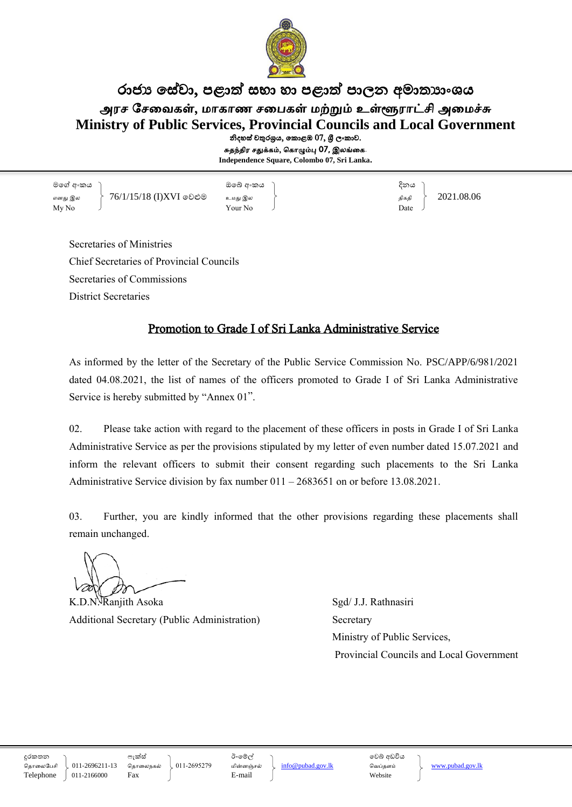

## රාජා සේවා, පළාත් සභා හා පළාත් පාලන අමාතාහංශය அரச சேவைகள், மாகாண சபைகள் மற்றும் உள்ளூராட்சி அமைச்சு **Ministry of Public Services, Provincial Councils and Local Government** නිදහස් චතුරශුය, කොළඹ 07, ශුී ලංකාව.

சுதந்திர சதுக்கம், ககாழும்பு 07, இலங்வக. **Independence Square, Colombo 07, Sri Lanka.**

මගේ අංකය ඔගේ අංකය දිනය எது இல 76/1/15/18 (I)XVI ගලළුම உநது இல திகதி 2021.08.06  $\mathbf{M} \mathbf{y} \mathbf{N}$   $\mathbf{y}$   $\mathbf{N}$   $\mathbf{y}$   $\mathbf{N}$   $\mathbf{y}$   $\mathbf{N}$   $\mathbf{y}$   $\mathbf{N}$   $\mathbf{y}$   $\mathbf{N}$   $\mathbf{y}$   $\mathbf{N}$   $\mathbf{y}$   $\mathbf{N}$   $\mathbf{y}$   $\mathbf{N}$   $\mathbf{y}$   $\mathbf{y}$   $\mathbf{y}$   $\mathbf{y}$   $\mathbf{y}$   $\mathbf{y}$   $\$ 

Secretaries of Ministries Chief Secretaries of Provincial Councils Secretaries of Commissions District Secretaries

## Promotion to Grade I of Sri Lanka Administrative Service

As informed by the letter of the Secretary of the Public Service Commission No. PSC/APP/6/981/2021 dated 04.08.2021, the list of names of the officers promoted to Grade I of Sri Lanka Administrative Service is hereby submitted by "Annex 01".

02. Please take action with regard to the placement of these officers in posts in Grade I of Sri Lanka Administrative Service as per the provisions stipulated by my letter of even number dated 15.07.2021 and inform the relevant officers to submit their consent regarding such placements to the Sri Lanka Administrative Service division by fax number 011 – 2683651 on or before 13.08.2021.

03. Further, you are kindly informed that the other provisions regarding these placements shall remain unchanged.

K.D.N. Ranjith Asoka Sgd/ J.J. Rathnasiri Additional Secretary (Public Administration) Secretary

 Ministry of Public Services, Provincial Councils and Local Government